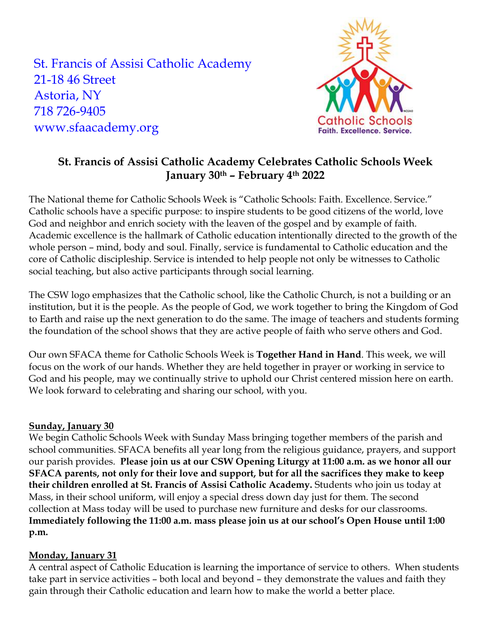St. Francis of Assisi Catholic Academy 21-18 46 Street Astoria, NY 718 726-9405 www.sfaacademy.org



# **St. Francis of Assisi Catholic Academy Celebrates Catholic Schools Week January 30th – February 4th 2022**

The National theme for Catholic Schools Week is "Catholic Schools: Faith. Excellence. Service." Catholic schools have a specific purpose: to inspire students to be good citizens of the world, love God and neighbor and enrich society with the leaven of the gospel and by example of faith. Academic excellence is the hallmark of Catholic education intentionally directed to the growth of the whole person – mind, body and soul. Finally, service is fundamental to Catholic education and the core of Catholic discipleship. Service is intended to help people not only be witnesses to Catholic social teaching, but also active participants through social learning.

The CSW logo emphasizes that the Catholic school, like the Catholic Church, is not a building or an institution, but it is the people. As the people of God, we work together to bring the Kingdom of God to Earth and raise up the next generation to do the same. The image of teachers and students forming the foundation of the school shows that they are active people of faith who serve others and God.

Our own SFACA theme for Catholic Schools Week is **Together Hand in Hand**. This week, we will focus on the work of our hands. Whether they are held together in prayer or working in service to God and his people, may we continually strive to uphold our Christ centered mission here on earth. We look forward to celebrating and sharing our school, with you.

# **Sunday, January 30**

We begin Catholic Schools Week with Sunday Mass bringing together members of the parish and school communities. SFACA benefits all year long from the religious guidance, prayers, and support our parish provides. **Please join us at our CSW Opening Liturgy at 11:00 a.m. as we honor all our SFACA parents, not only for their love and support, but for all the sacrifices they make to keep their children enrolled at St. Francis of Assisi Catholic Academy.** Students who join us today at Mass, in their school uniform, will enjoy a special dress down day just for them. The second collection at Mass today will be used to purchase new furniture and desks for our classrooms. **Immediately following the 11:00 a.m. mass please join us at our school's Open House until 1:00 p.m.**

# **Monday, January 31**

A central aspect of Catholic Education is learning the importance of service to others. When students take part in service activities – both local and beyond – they demonstrate the values and faith they gain through their Catholic education and learn how to make the world a better place.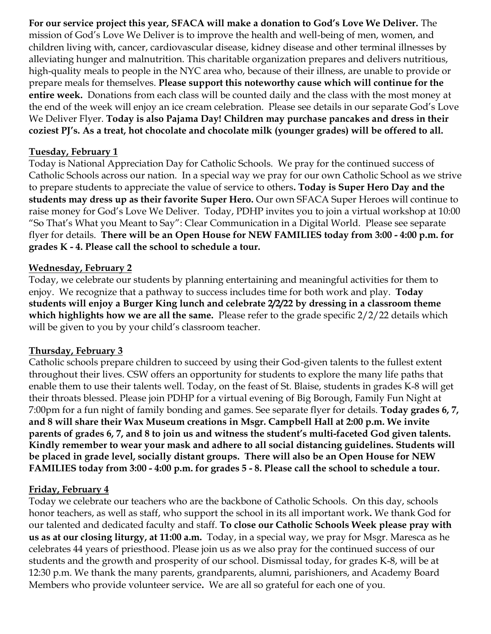**For our service project this year, SFACA will make a donation to God's Love We Deliver.** The mission of God's Love We Deliver is to improve the health and well-being of men, women, and children living with, cancer, cardiovascular disease, kidney disease and other terminal illnesses by alleviating hunger and malnutrition. This charitable organization prepares and delivers nutritious, high-quality meals to people in the NYC area who, because of their illness, are unable to provide or prepare meals for themselves. **Please support this noteworthy cause which will continue for the entire week.** Donations from each class will be counted daily and the class with the most money at the end of the week will enjoy an ice cream celebration. Please see details in our separate God's Love We Deliver Flyer. **Today is also Pajama Day! Children may purchase pancakes and dress in their coziest PJ's. As a treat, hot chocolate and chocolate milk (younger grades) will be offered to all.** 

### **Tuesday, February 1**

Today is National Appreciation Day for Catholic Schools. We pray for the continued success of Catholic Schools across our nation. In a special way we pray for our own Catholic School as we strive to prepare students to appreciate the value of service to others**. Today is Super Hero Day and the students may dress up as their favorite Super Hero.** Our own SFACA Super Heroes will continue to raise money for God's Love We Deliver. Today, PDHP invites you to join a virtual workshop at 10:00 "So That's What you Meant to Say": Clear Communication in a Digital World. Please see separate flyer for details. **There will be an Open House for NEW FAMILIES today from 3:00 - 4:00 p.m. for grades K - 4. Please call the school to schedule a tour.**

# **Wednesday, February 2**

Today, we celebrate our students by planning entertaining and meaningful activities for them to enjoy. We recognize that a pathway to success includes time for both work and play. **Today students will enjoy a Burger King lunch and celebrate 2/2/22 by dressing in a classroom theme which highlights how we are all the same.** Please refer to the grade specific 2/2/22 details which will be given to you by your child's classroom teacher.

#### **Thursday, February 3**

Catholic schools prepare children to succeed by using their God-given talents to the fullest extent throughout their lives. CSW offers an opportunity for students to explore the many life paths that enable them to use their talents well. Today, on the feast of St. Blaise, students in grades K-8 will get their throats blessed. Please join PDHP for a virtual evening of Big Borough, Family Fun Night at 7:00pm for a fun night of family bonding and games. See separate flyer for details. **Today grades 6, 7, and 8 will share their Wax Museum creations in Msgr. Campbell Hall at 2:00 p.m. We invite parents of grades 6, 7, and 8 to join us and witness the student's multi-faceted God given talents. Kindly remember to wear your mask and adhere to all social distancing guidelines. Students will be placed in grade level, socially distant groups. There will also be an Open House for NEW FAMILIES today from 3:00 - 4:00 p.m. for grades 5 - 8. Please call the school to schedule a tour.**

# **Friday, February 4**

Today we celebrate our teachers who are the backbone of Catholic Schools. On this day, schools honor teachers, as well as staff, who support the school in its all important work**.** We thank God for our talented and dedicated faculty and staff. **To close our Catholic Schools Week please pray with us as at our closing liturgy, at 11:00 a.m.** Today, in a special way, we pray for Msgr. Maresca as he celebrates 44 years of priesthood. Please join us as we also pray for the continued success of our students and the growth and prosperity of our school. Dismissal today, for grades K-8, will be at 12:30 p.m. We thank the many parents, grandparents, alumni, parishioners, and Academy Board Members who provide volunteer service**.** We are all so grateful for each one of you.